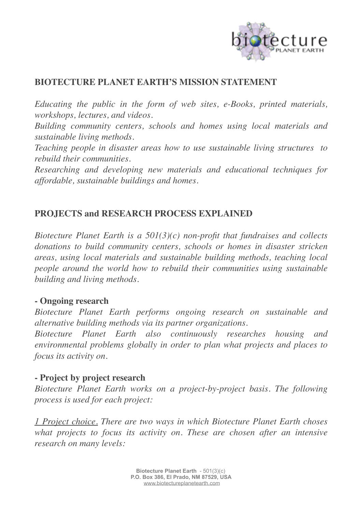

# **BIOTECTURE PLANET EARTH'S MISSION STATEMENT**

*Educating the public in the form of web sites, e-Books, printed materials, workshops, lectures, and videos.*

*Building community centers, schools and homes using local materials and sustainable living methods.*

*Teaching people in disaster areas how to use sustainable living structures to rebuild their communities.*

*Researching and developing new materials and educational techniques for affordable, sustainable buildings and homes.*

## **PROJECTS and RESEARCH PROCESS EXPLAINED**

*Biotecture Planet Earth is a 501(3)(c) non-profit that fundraises and collects donations to build community centers, schools or homes in disaster stricken areas, using local materials and sustainable building methods, teaching local people around the world how to rebuild their communities using sustainable building and living methods.*

### **- Ongoing research**

*Biotecture Planet Earth performs ongoing research on sustainable and alternative building methods via its partner organizations.* 

*Biotecture Planet Earth also continuously researches housing and environmental problems globally in order to plan what projects and places to focus its activity on.*

## **- Project by project research**

*Biotecture Planet Earth works on a project-by-project basis. The following process is used for each project:*

*1 Project choice. There are two ways in which Biotecture Planet Earth choses what projects to focus its activity on. These are chosen after an intensive research on many levels:*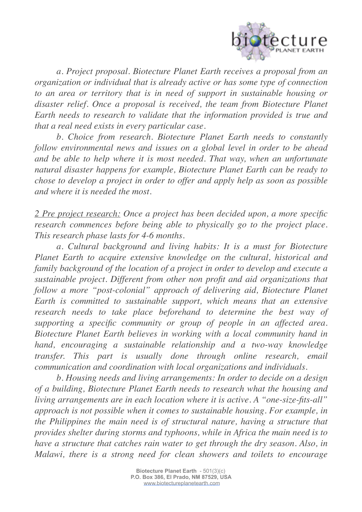

*a. Project proposal. Biotecture Planet Earth receives a proposal from an organization or individual that is already active or has some type of connection to an area or territory that is in need of support in sustainable housing or disaster relief. Once a proposal is received, the team from Biotecture Planet Earth needs to research to validate that the information provided is true and that a real need exists in every particular case.*

*b. Choice from research. Biotecture Planet Earth needs to constantly follow environmental news and issues on a global level in order to be ahead and be able to help where it is most needed. That way, when an unfortunate natural disaster happens for example, Biotecture Planet Earth can be ready to chose to develop a project in order to offer and apply help as soon as possible and where it is needed the most.*

*2 Pre project research: Once a project has been decided upon, a more specific research commences before being able to physically go to the project place. This research phase lasts for 4-6 months.*

*a. Cultural background and living habits: It is a must for Biotecture Planet Earth to acquire extensive knowledge on the cultural, historical and family background of the location of a project in order to develop and execute a sustainable project. Different from other non profit and aid organizations that follow a more "post-colonial" approach of delivering aid, Biotecture Planet Earth is committed to sustainable support, which means that an extensive research needs to take place beforehand to determine the best way of supporting a specific community or group of people in an affected area. Biotecture Planet Earth believes in working with a local community hand in hand, encouraging a sustainable relationship and a two-way knowledge transfer. This part is usually done through online research, email communication and coordination with local organizations and individuals.*

*b. Housing needs and living arrangements: In order to decide on a design of a building, Biotecture Planet Earth needs to research what the housing and living arrangements are in each location where it is active. A "one-size-fits-all" approach is not possible when it comes to sustainable housing. For example, in the Philippines the main need is of structural nature, having a structure that provides shelter during storms and typhoons, while in Africa the main need is to have a structure that catches rain water to get through the dry season. Also, in Malawi, there is a strong need for clean showers and toilets to encourage*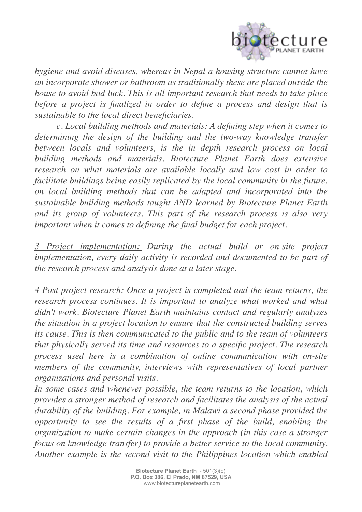

*hygiene and avoid diseases, whereas in Nepal a housing structure cannot have an incorporate shower or bathroom as traditionally these are placed outside the house to avoid bad luck. This is all important research that needs to take place*  before a project is finalized in order to define a process and design that is *sustainable to the local direct beneficiaries.*

*c. Local building methods and materials: A defining step when it comes to determining the design of the building and the two-way knowledge transfer between locals and volunteers, is the in depth research process on local building methods and materials. Biotecture Planet Earth does extensive research on what materials are available locally and low cost in order to facilitate buildings being easily replicated by the local community in the future, on local building methods that can be adapted and incorporated into the sustainable building methods taught AND learned by Biotecture Planet Earth and its group of volunteers. This part of the research process is also very important when it comes to defining the final budget for each project.*

*3 Project implementation: During the actual build or on-site project implementation, every daily activity is recorded and documented to be part of the research process and analysis done at a later stage.*

*4 Post project research: Once a project is completed and the team returns, the research process continues. It is important to analyze what worked and what didn't work. Biotecture Planet Earth maintains contact and regularly analyzes the situation in a project location to ensure that the constructed building serves its cause. This is then communicated to the public and to the team of volunteers that physically served its time and resources to a specific project. The research process used here is a combination of online communication with on-site members of the community, interviews with representatives of local partner organizations and personal visits.* 

*In some cases and whenever possible, the team returns to the location, which provides a stronger method of research and facilitates the analysis of the actual durability of the building. For example, in Malawi a second phase provided the opportunity to see the results of a first phase of the build, enabling the organization to make certain changes in the approach (in this case a stronger focus on knowledge transfer) to provide a better service to the local community. Another example is the second visit to the Philippines location which enabled*